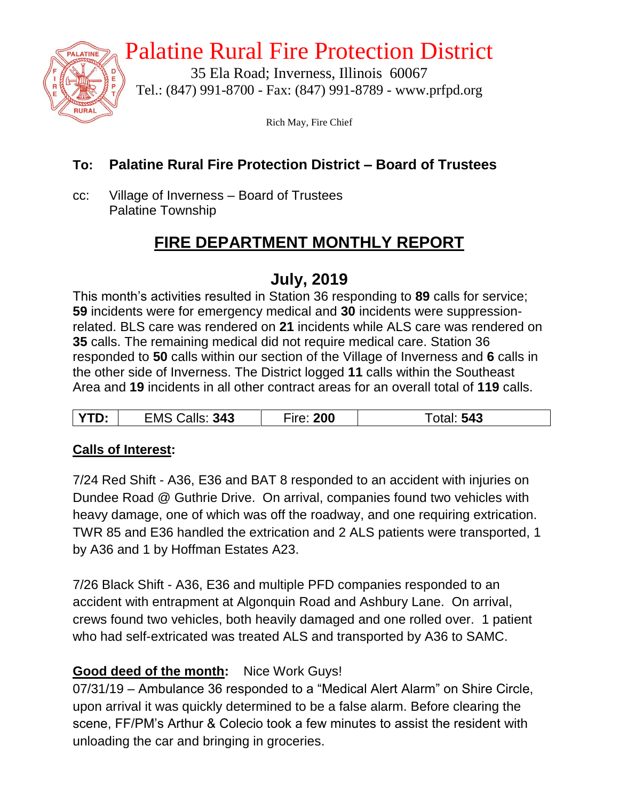

# Palatine Rural Fire Protection District

35 Ela Road; Inverness, Illinois 60067 Tel.: (847) 991-8700 - Fax: (847) 991-8789 - www.prfpd.org

Rich May, Fire Chief

### **To: Palatine Rural Fire Protection District – Board of Trustees**

cc: Village of Inverness – Board of Trustees Palatine Township

# **FIRE DEPARTMENT MONTHLY REPORT**

### **July, 2019**

This month's activities resulted in Station 36 responding to **89** calls for service; **59** incidents were for emergency medical and **30** incidents were suppressionrelated. BLS care was rendered on **21** incidents while ALS care was rendered on **35** calls. The remaining medical did not require medical care. Station 36 responded to **50** calls within our section of the Village of Inverness and **6** calls in the other side of Inverness. The District logged **11** calls within the Southeast Area and **19** incidents in all other contract areas for an overall total of **119** calls.

| 343<br>D:<br>∈MS. | 200<br>rr <sub>0</sub> | 543 |
|-------------------|------------------------|-----|
|-------------------|------------------------|-----|

### **Calls of Interest:**

7/24 Red Shift - A36, E36 and BAT 8 responded to an accident with injuries on Dundee Road @ Guthrie Drive. On arrival, companies found two vehicles with heavy damage, one of which was off the roadway, and one requiring extrication. TWR 85 and E36 handled the extrication and 2 ALS patients were transported, 1 by A36 and 1 by Hoffman Estates A23.

7/26 Black Shift - A36, E36 and multiple PFD companies responded to an accident with entrapment at Algonquin Road and Ashbury Lane. On arrival, crews found two vehicles, both heavily damaged and one rolled over. 1 patient who had self-extricated was treated ALS and transported by A36 to SAMC.

### **Good deed of the month:** Nice Work Guys!

07/31/19 – Ambulance 36 responded to a "Medical Alert Alarm" on Shire Circle, upon arrival it was quickly determined to be a false alarm. Before clearing the scene, FF/PM's Arthur & Colecio took a few minutes to assist the resident with unloading the car and bringing in groceries.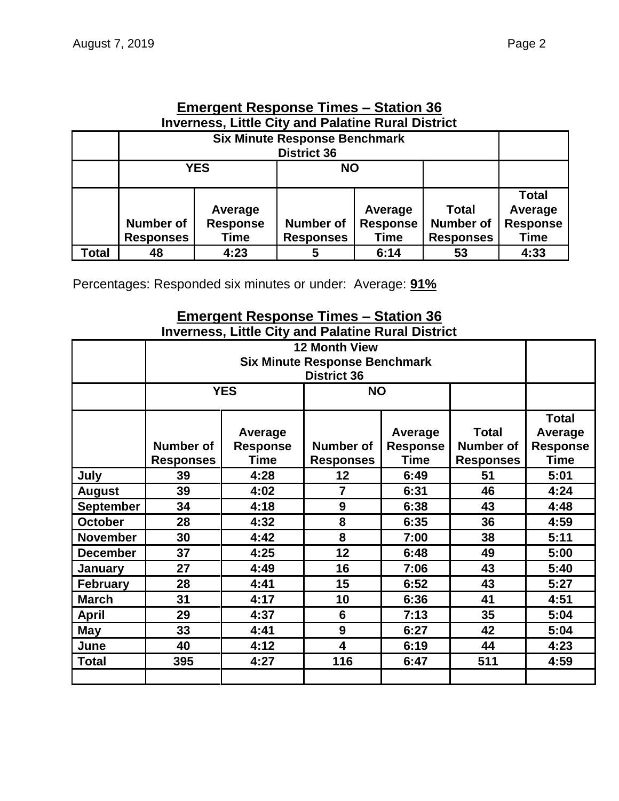**Number of Responses**

| <u>Emergent Response Times – Station 36</u><br><b>Inverness, Little City and Palatine Rural District</b> |  |  |       |  |  |
|----------------------------------------------------------------------------------------------------------|--|--|-------|--|--|
| <b>Six Minute Response Benchmark</b>                                                                     |  |  |       |  |  |
| <b>YES</b>                                                                                               |  |  |       |  |  |
|                                                                                                          |  |  | ⊺otal |  |  |

**Average Response Time**

**Total Number of Responses**

Percentages: Responded six minutes or under: Average: **91%**

**Average Response** 

**Time**<br>4:23

#### **Emergent Response Times – Station 36 Inverness, Little City and Palatine Rural District**

**Number of Responses**

**Total 48 4:23 5 6:14 53 4:33**

|                  |                                      | <b>Six Minute Response Benchmark</b><br><b>District 36</b> |                               |                                                                                   |     |                                                           |  |
|------------------|--------------------------------------|------------------------------------------------------------|-------------------------------|-----------------------------------------------------------------------------------|-----|-----------------------------------------------------------|--|
|                  |                                      | <b>YES</b>                                                 | <b>NO</b>                     |                                                                                   |     |                                                           |  |
|                  | <b>Number of</b><br><b>Responses</b> | Average<br><b>Response</b><br>Time                         | Number of<br><b>Responses</b> | Average<br><b>Response</b><br><b>Number of</b><br><b>Time</b><br><b>Responses</b> |     | <b>Total</b><br>Average<br><b>Response</b><br><b>Time</b> |  |
| July             | 39                                   | 4:28                                                       | 12                            | 6:49                                                                              | 51  | 5:01                                                      |  |
| <b>August</b>    | 39                                   | 4:02                                                       | $\overline{7}$                | 6:31                                                                              |     | 4:24                                                      |  |
| <b>September</b> | 34                                   | 4:18                                                       | 9                             | 6:38                                                                              |     | 4:48                                                      |  |
| <b>October</b>   | 28                                   | 4:32                                                       | 8<br>6:35                     |                                                                                   | 36  | 4:59                                                      |  |
| <b>November</b>  | 30                                   | 4:42                                                       | 8                             | 7:00                                                                              |     | 5:11                                                      |  |
| <b>December</b>  | 37                                   | 4:25                                                       | 12                            | 6:48                                                                              | 49  | 5:00                                                      |  |
| <b>January</b>   | 27                                   | 4:49                                                       | 16                            | 7:06                                                                              | 43  | 5:40                                                      |  |
| <b>February</b>  | 28                                   | 4:41                                                       | 15                            | 6:52                                                                              | 43  | 5:27                                                      |  |
| <b>March</b>     | 31                                   | 4:17                                                       | 10<br>6:36                    |                                                                                   | 41  | 4:51                                                      |  |
| <b>April</b>     | 29                                   | 4:37                                                       | 7:13<br>$6\phantom{1}6$       |                                                                                   | 35  | 5:04                                                      |  |
| <b>May</b>       | 33                                   | 4:41                                                       | 9                             | 6:27                                                                              | 42  | 5:04                                                      |  |
| June             | 40                                   | 4:12                                                       | $\overline{\mathbf{4}}$       | 6:19                                                                              | 44  | 4:23                                                      |  |
| <b>Total</b>     | 395                                  | 4:27                                                       | 116                           | 6:47                                                                              | 511 | 4:59                                                      |  |

**Average Response Time**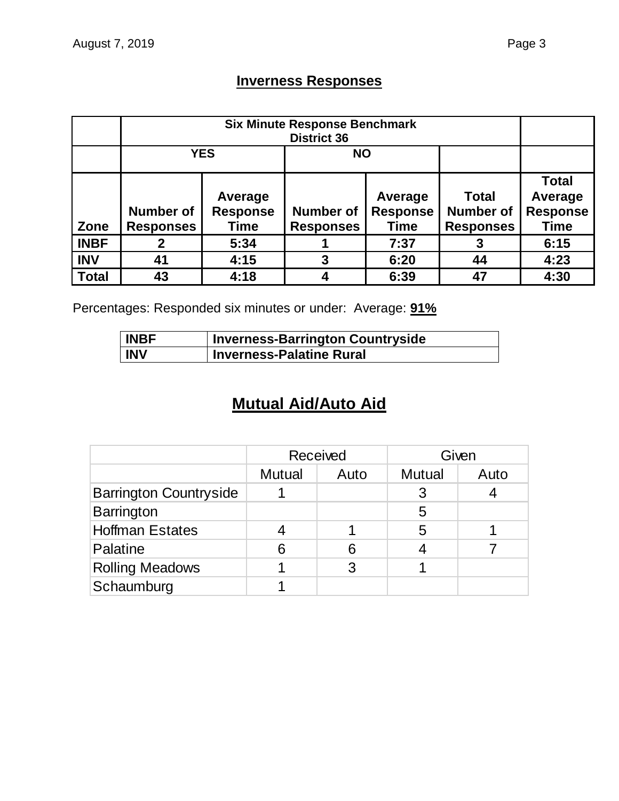### **Inverness Responses**

|              | <b>Six Minute Response Benchmark</b><br><b>District 36</b> |                                    |                                      |                                           |                                                      |                                                           |  |
|--------------|------------------------------------------------------------|------------------------------------|--------------------------------------|-------------------------------------------|------------------------------------------------------|-----------------------------------------------------------|--|
|              | <b>YES</b><br><b>NO</b>                                    |                                    |                                      |                                           |                                                      |                                                           |  |
| Zone         | <b>Number of</b><br><b>Responses</b>                       | Average<br><b>Response</b><br>Time | <b>Number of</b><br><b>Responses</b> | Average<br><b>Response</b><br><b>Time</b> | <b>Total</b><br><b>Number of</b><br><b>Responses</b> | <b>Total</b><br>Average<br><b>Response</b><br><b>Time</b> |  |
| <b>INBF</b>  |                                                            | 5:34                               |                                      | 7:37                                      |                                                      | 6:15                                                      |  |
| <b>INV</b>   | 41                                                         | 4:15                               | 3                                    | 6:20                                      | 44                                                   | 4:23                                                      |  |
| <b>Total</b> | 43                                                         | 4:18                               |                                      | 6:39                                      | 47                                                   | 4:30                                                      |  |

Percentages: Responded six minutes or under: Average: **91%**

| <b>INBF</b> | <b>Inverness-Barrington Countryside</b> |
|-------------|-----------------------------------------|
| <b>INV</b>  | <b>Inverness-Palatine Rural</b>         |

# **Mutual Aid/Auto Aid**

|                               | Received      |      |               | Given |
|-------------------------------|---------------|------|---------------|-------|
|                               | <b>Mutual</b> | Auto | <b>Mutual</b> | Auto  |
| <b>Barrington Countryside</b> |               |      |               |       |
| Barrington                    |               |      | 5             |       |
| <b>Hoffman Estates</b>        |               |      | 5             |       |
| Palatine                      | 6             | 6    |               |       |
| <b>Rolling Meadows</b>        |               | 3    |               |       |
| Schaumburg                    |               |      |               |       |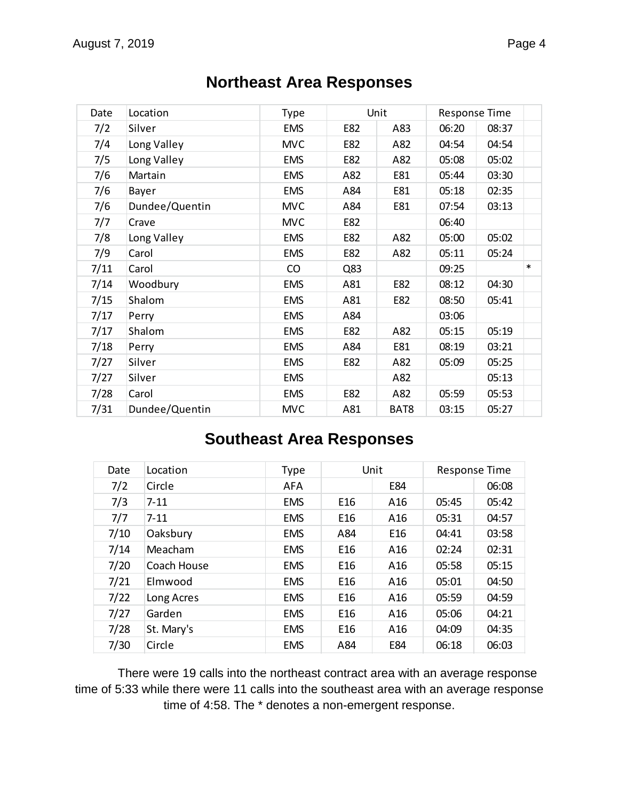| Date | Location       | <b>Type</b> |     | Unit |       | <b>Response Time</b> |        |
|------|----------------|-------------|-----|------|-------|----------------------|--------|
| 7/2  | Silver         | <b>EMS</b>  | E82 | A83  | 06:20 | 08:37                |        |
| 7/4  | Long Valley    | <b>MVC</b>  | E82 | A82  | 04:54 | 04:54                |        |
| 7/5  | Long Valley    | <b>EMS</b>  | E82 | A82  | 05:08 | 05:02                |        |
| 7/6  | Martain        | <b>EMS</b>  | A82 | E81  | 05:44 | 03:30                |        |
| 7/6  | Bayer          | <b>EMS</b>  | A84 | E81  | 05:18 | 02:35                |        |
| 7/6  | Dundee/Quentin | <b>MVC</b>  | A84 | E81  | 07:54 | 03:13                |        |
| 7/7  | Crave          | <b>MVC</b>  | E82 |      | 06:40 |                      |        |
| 7/8  | Long Valley    | <b>EMS</b>  | E82 | A82  | 05:00 | 05:02                |        |
| 7/9  | Carol          | <b>EMS</b>  | E82 | A82  | 05:11 | 05:24                |        |
| 7/11 | Carol          | CO          | Q83 |      | 09:25 |                      | $\ast$ |
| 7/14 | Woodbury       | <b>EMS</b>  | A81 | E82  | 08:12 | 04:30                |        |
| 7/15 | Shalom         | <b>EMS</b>  | A81 | E82  | 08:50 | 05:41                |        |
| 7/17 | Perry          | <b>EMS</b>  | A84 |      | 03:06 |                      |        |
| 7/17 | Shalom         | <b>EMS</b>  | E82 | A82  | 05:15 | 05:19                |        |
| 7/18 | Perry          | <b>EMS</b>  | A84 | E81  | 08:19 | 03:21                |        |
| 7/27 | Silver         | <b>EMS</b>  | E82 | A82  | 05:09 | 05:25                |        |
| 7/27 | Silver         | <b>EMS</b>  |     | A82  |       | 05:13                |        |
| 7/28 | Carol          | <b>EMS</b>  | E82 | A82  | 05:59 | 05:53                |        |
| 7/31 | Dundee/Quentin | <b>MVC</b>  | A81 | BAT8 | 03:15 | 05:27                |        |

### **Northeast Area Responses**

### **Southeast Area Responses**

| Date | Location    | <b>Type</b> | Unit            |                 | <b>Response Time</b> |       |  |
|------|-------------|-------------|-----------------|-----------------|----------------------|-------|--|
| 7/2  | Circle      | <b>AFA</b>  |                 | E84             |                      | 06:08 |  |
| 7/3  | $7 - 11$    | <b>EMS</b>  | E16             | A16             | 05:45                | 05:42 |  |
| 7/7  | $7 - 11$    | <b>EMS</b>  | E16             | A <sub>16</sub> | 05:31                | 04:57 |  |
| 7/10 | Oaksbury    | <b>EMS</b>  | A84             | E <sub>16</sub> | 04:41                | 03:58 |  |
| 7/14 | Meacham     | <b>EMS</b>  | E <sub>16</sub> | A <sub>16</sub> | 02:24                | 02:31 |  |
| 7/20 | Coach House | <b>EMS</b>  | E <sub>16</sub> | A16             | 05:58                | 05:15 |  |
| 7/21 | Elmwood     | <b>EMS</b>  | E <sub>16</sub> | A16             | 05:01                | 04:50 |  |
| 7/22 | Long Acres  | <b>EMS</b>  | E16             | A16             | 05:59                | 04:59 |  |
| 7/27 | Garden      | <b>EMS</b>  | E16             | A <sub>16</sub> | 05:06                | 04:21 |  |
| 7/28 | St. Mary's  | <b>EMS</b>  | E16             | A <sub>16</sub> | 04:09                | 04:35 |  |
| 7/30 | Circle      | <b>EMS</b>  | A84             | E84             | 06:18                | 06:03 |  |

There were 19 calls into the northeast contract area with an average response time of 5:33 while there were 11 calls into the southeast area with an average response time of 4:58. The \* denotes a non-emergent response.